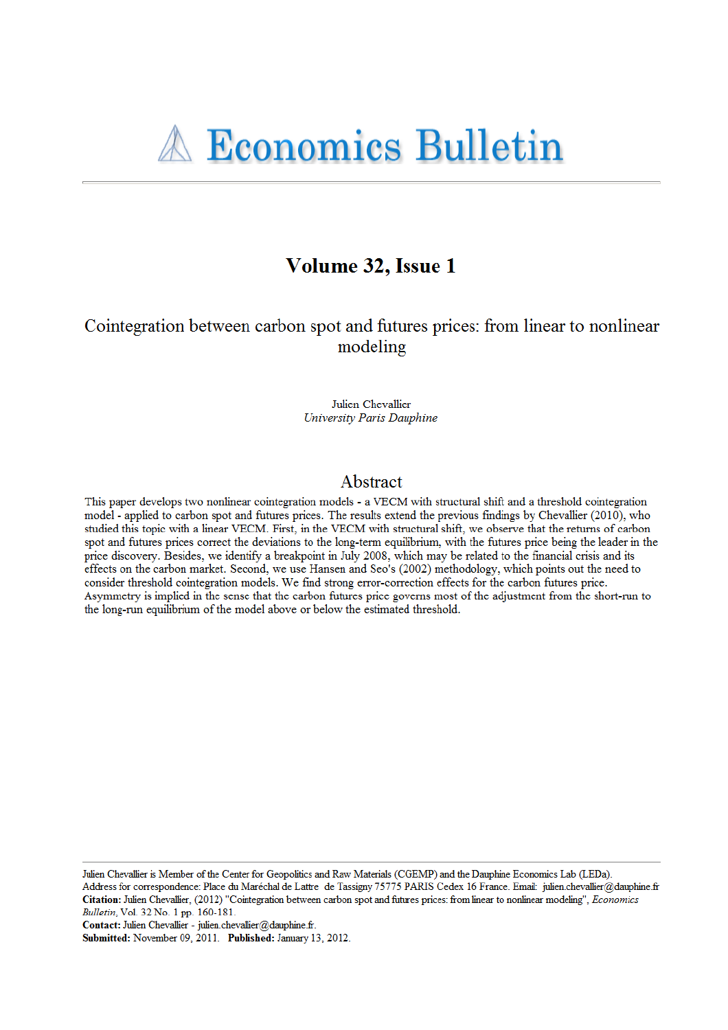# Volume 32, Issue 1

## Cointegration between carbon spot and futures prices: from linear to nonlinear modeling

Julien Chevallier **University Paris Dauphine** 

### Abstract

This paper develops two nonlinear cointegration models - a VECM with structural shift and a threshold cointegration model - applied to carbon spot and futures prices. The results extend the previous findings by Chevallier (2010), who studied this topic with a linear VECM. First, in the VECM with structural shift, we observe that the returns of carbon spot and futures prices correct the deviations to the long-term equilibrium, with the futures price being the leader in the price discovery. Besides, we identify a breakpoint in July 2008, which may be related to the financial crisis and its effects on the carbon market. Second, we use Hansen and Seo's (2002) methodology, which points out the need to consider threshold cointegration models. We find strong error-correction effects for the carbon futures price. Asymmetry is implied in the sense that the carbon futures price governs most of the adjustment from the short-run to the long-run equilibrium of the model above or below the estimated threshold.

Julien Chevallier is Member of the Center for Geopolitics and Raw Materials (CGEMP) and the Dauphine Economics Lab (LEDa). Address for correspondence: Place du Maréchal de Lattre de Tassigny 75775 PARIS Cedex 16 France. Email: julien.chevallier@dauphine.fr Citation: Julien Chevallier, (2012) "Cointegration between carbon spot and futures prices: from linear to nonlinear modeling", Economics Bulletin, Vol. 32 No. 1 pp. 160-181.

Contact: Julien Chevallier - julien.chevallier@dauphine.fr.

Submitted: November 09, 2011. Published: January 13, 2012.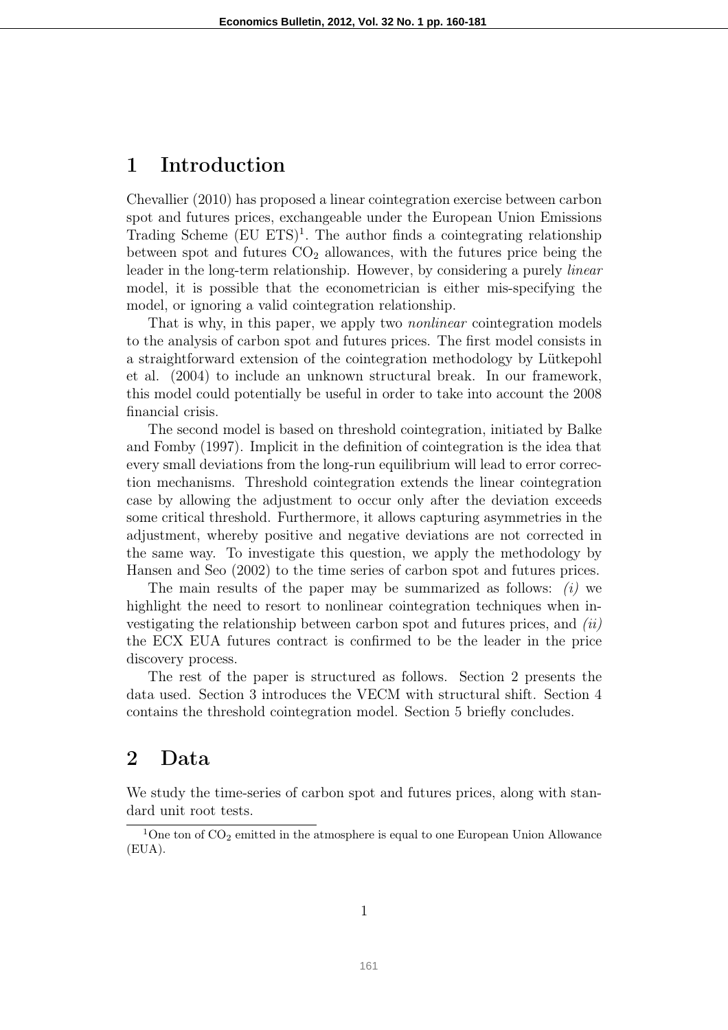# 1 Introduction

Chevallier (2010) has proposed a linear cointegration exercise between carbon spot and futures prices, exchangeable under the European Union Emissions Trading Scheme  $(EU ETS)^{1}$ . The author finds a cointegrating relationship between spot and futures  $CO<sub>2</sub>$  allowances, with the futures price being the leader in the long-term relationship. However, by considering a purely *linear* model, it is possible that the econometrician is either mis-specifying the model, or ignoring a valid cointegration relationship.

That is why, in this paper, we apply two *nonlinear* cointegration models to the analysis of carbon spot and futures prices. The first model consists in a straightforward extension of the cointegration methodology by Lütkepohl et al. (2004) to include an unknown structural break. In our framework, this model could potentially be useful in order to take into account the 2008 financial crisis.

The second model is based on threshold cointegration, initiated by Balke and Fomby (1997). Implicit in the definition of cointegration is the idea that every small deviations from the long-run equilibrium will lead to error correction mechanisms. Threshold cointegration extends the linear cointegration case by allowing the adjustment to occur only after the deviation exceeds some critical threshold. Furthermore, it allows capturing asymmetries in the adjustment, whereby positive and negative deviations are not corrected in the same way. To investigate this question, we apply the methodology by Hansen and Seo (2002) to the time series of carbon spot and futures prices.

The main results of the paper may be summarized as follows:  $(i)$  we highlight the need to resort to nonlinear cointegration techniques when investigating the relationship between carbon spot and futures prices, and (ii) the ECX EUA futures contract is confirmed to be the leader in the price discovery process.

The rest of the paper is structured as follows. Section 2 presents the data used. Section 3 introduces the VECM with structural shift. Section 4 contains the threshold cointegration model. Section 5 briefly concludes.

## 2 Data

We study the time-series of carbon spot and futures prices, along with standard unit root tests.

<sup>&</sup>lt;sup>1</sup>One ton of  $CO<sub>2</sub>$  emitted in the atmosphere is equal to one European Union Allowance (EUA).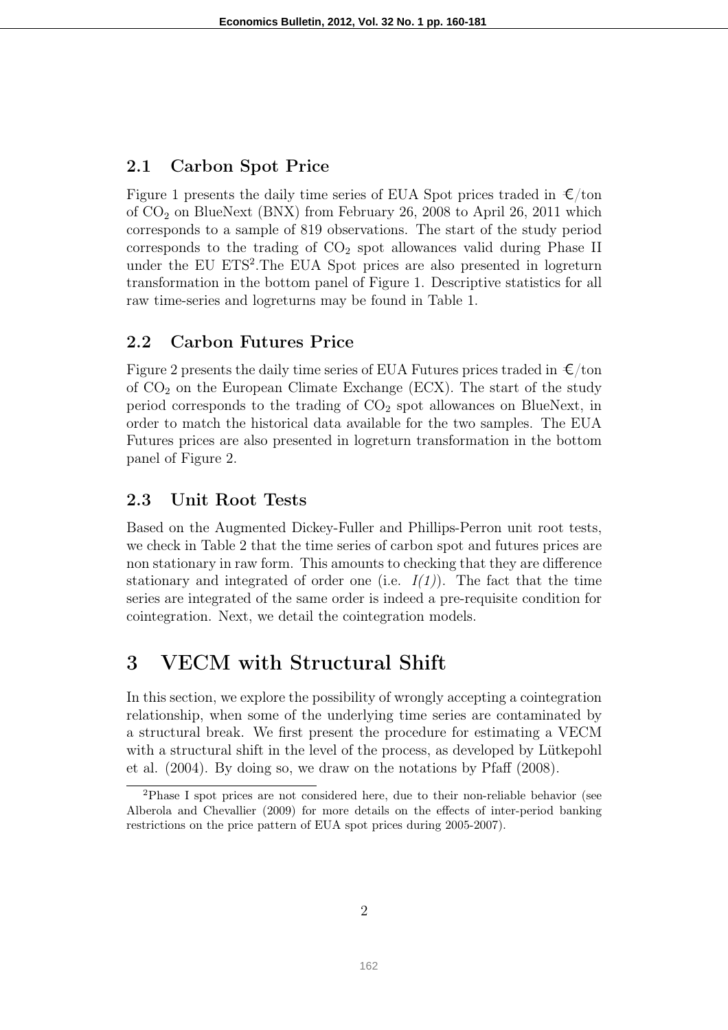### 2.1 Carbon Spot Price

Figure 1 presents the daily time series of EUA Spot prices traded in  $\epsilon$ /ton of  $CO<sub>2</sub>$  on BlueNext (BNX) from February 26, 2008 to April 26, 2011 which corresponds to a sample of 819 observations. The start of the study period corresponds to the trading of  $CO<sub>2</sub>$  spot allowances valid during Phase II under the EU ETS<sup>2</sup>. The EUA Spot prices are also presented in logreturn transformation in the bottom panel of Figure 1. Descriptive statistics for all raw time-series and logreturns may be found in Table 1.

### 2.2 Carbon Futures Price

Figure 2 presents the daily time series of EUA Futures prices traded in  $\epsilon$ /ton of  $CO<sub>2</sub>$  on the European Climate Exchange (ECX). The start of the study period corresponds to the trading of  $CO<sub>2</sub>$  spot allowances on BlueNext, in order to match the historical data available for the two samples. The EUA Futures prices are also presented in logreturn transformation in the bottom panel of Figure 2.

### 2.3 Unit Root Tests

Based on the Augmented Dickey-Fuller and Phillips-Perron unit root tests, we check in Table 2 that the time series of carbon spot and futures prices are non stationary in raw form. This amounts to checking that they are difference stationary and integrated of order one (i.e.  $I(1)$ ). The fact that the time series are integrated of the same order is indeed a pre-requisite condition for cointegration. Next, we detail the cointegration models.

# 3 VECM with Structural Shift

In this section, we explore the possibility of wrongly accepting a cointegration relationship, when some of the underlying time series are contaminated by a structural break. We first present the procedure for estimating a VECM with a structural shift in the level of the process, as developed by Lütkepohl et al. (2004). By doing so, we draw on the notations by Pfaff (2008).

<sup>2</sup>Phase I spot prices are not considered here, due to their non-reliable behavior (see Alberola and Chevallier (2009) for more details on the effects of inter-period banking restrictions on the price pattern of EUA spot prices during 2005-2007).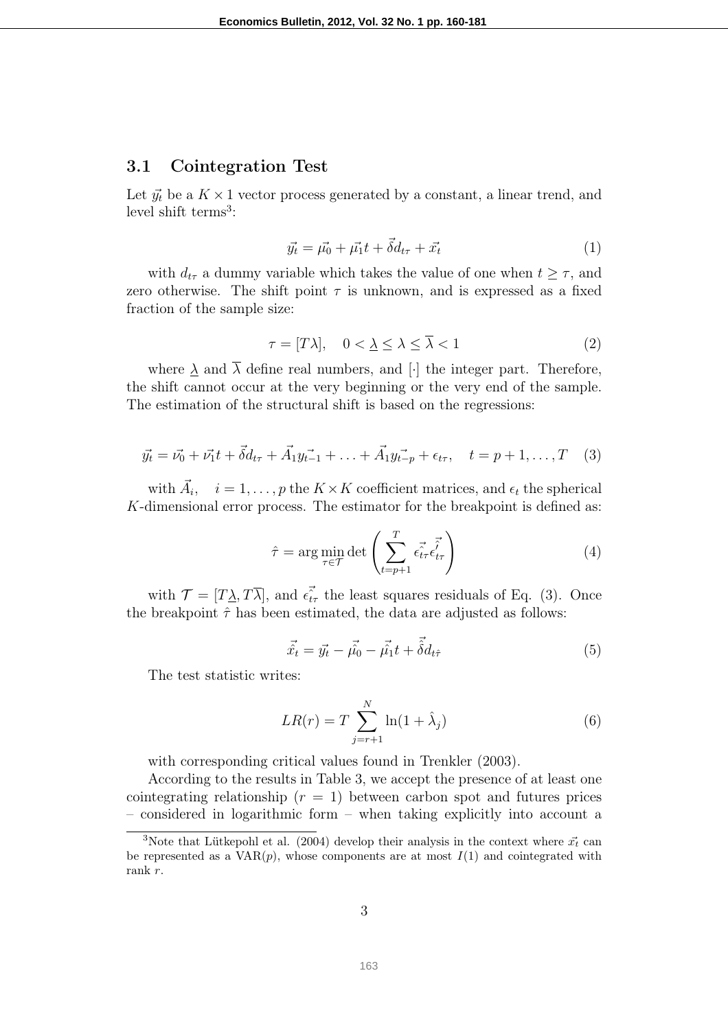#### 3.1 Cointegration Test

Let  $\vec{y}_t$  be a  $K \times 1$  vector process generated by a constant, a linear trend, and level shift terms<sup>3</sup>:

$$
\vec{y_t} = \vec{\mu_0} + \vec{\mu_1}t + \vec{\delta d}_{t\tau} + \vec{x_t}
$$
\n(1)

with  $d_{t\tau}$  a dummy variable which takes the value of one when  $t \geq \tau$ , and zero otherwise. The shift point  $\tau$  is unknown, and is expressed as a fixed fraction of the sample size:

$$
\tau = [T\lambda], \quad 0 < \underline{\lambda} \le \overline{\lambda} < 1 \tag{2}
$$

where  $\lambda$  and  $\overline{\lambda}$  define real numbers, and [·] the integer part. Therefore, the shift cannot occur at the very beginning or the very end of the sample. The estimation of the structural shift is based on the regressions:

$$
\vec{y_t} = \vec{v_0} + \vec{v_1}t + \vec{\delta}d_{t\tau} + \vec{A_1}\vec{y_{t-1}} + \ldots + \vec{A_1}\vec{y_{t-p}} + \epsilon_{t\tau}, \quad t = p + 1, \ldots, T \quad (3)
$$

with  $\vec{A}_i$ ,  $i = 1, \ldots, p$  the  $K \times K$  coefficient matrices, and  $\epsilon_t$  the spherical K-dimensional error process. The estimator for the breakpoint is defined as:

$$
\hat{\tau} = \arg\min_{\tau \in \mathcal{T}} \det \left( \sum_{t=p+1}^{T} \vec{\epsilon_{t\tau}} \vec{\epsilon_{t\tau}} \right)
$$
(4)

with  $\mathcal{T} = [T\lambda, T\overline{\lambda}]$ , and  $\epsilon_{t\tau}^2$  the least squares residuals of Eq. (3). Once the breakpoint  $\hat{\tau}$  has been estimated, the data are adjusted as follows:

$$
\vec{\hat{x}_t} = \vec{y_t} - \vec{\hat{\mu_0}} - \vec{\hat{\mu_1}}t + \vec{\hat{\delta}}d_{t\hat{\tau}}
$$
\n(5)

The test statistic writes:

$$
LR(r) = T \sum_{j=r+1}^{N} \ln(1 + \hat{\lambda}_j)
$$
 (6)

with corresponding critical values found in Trenkler  $(2003)$ .

According to the results in Table 3, we accept the presence of at least one cointegrating relationship  $(r = 1)$  between carbon spot and futures prices – considered in logarithmic form – when taking explicitly into account a

<sup>&</sup>lt;sup>3</sup>Note that Lütkepohl et al. (2004) develop their analysis in the context where  $\vec{x_t}$  can be represented as a  $VAR(p)$ , whose components are at most  $I(1)$  and cointegrated with rank r.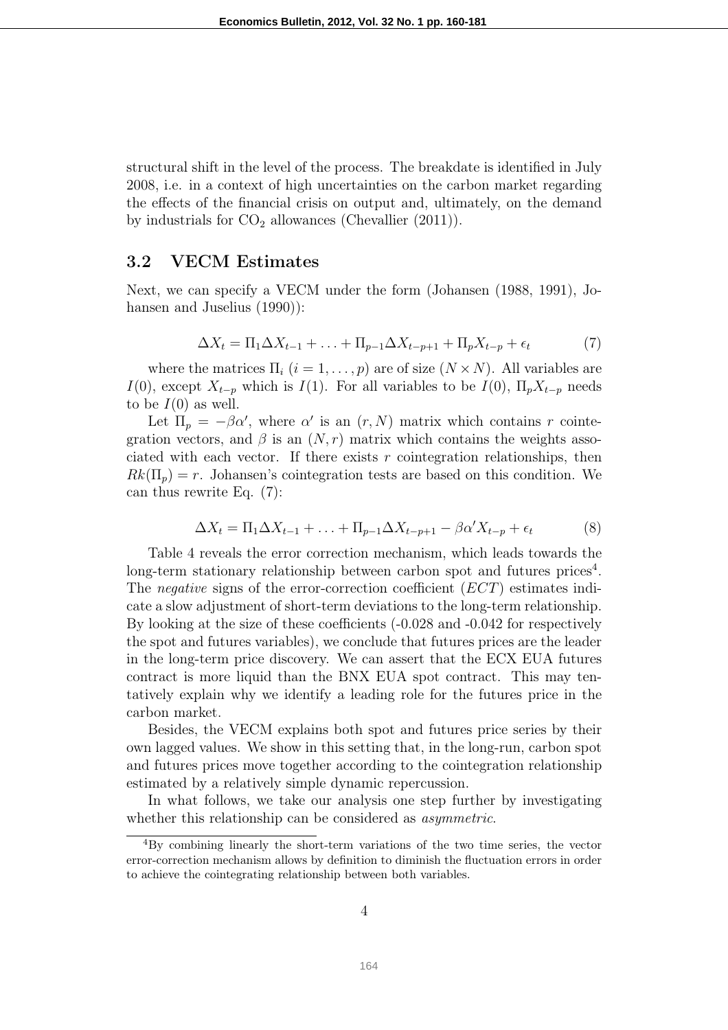structural shift in the level of the process. The breakdate is identified in July 2008, i.e. in a context of high uncertainties on the carbon market regarding the effects of the financial crisis on output and, ultimately, on the demand by industrials for  $CO<sub>2</sub>$  allowances (Chevallier (2011)).

#### 3.2 VECM Estimates

Next, we can specify a VECM under the form (Johansen (1988, 1991), Johansen and Juselius  $(1990)$ :

$$
\Delta X_t = \Pi_1 \Delta X_{t-1} + \ldots + \Pi_{p-1} \Delta X_{t-p+1} + \Pi_p X_{t-p} + \epsilon_t \tag{7}
$$

where the matrices  $\Pi_i$   $(i = 1, \ldots, p)$  are of size  $(N \times N)$ . All variables are I(0), except  $X_{t-p}$  which is I(1). For all variables to be I(0),  $\Pi_p X_{t-p}$  needs to be  $I(0)$  as well.

Let  $\Pi_p = -\beta \alpha'$ , where  $\alpha'$  is an  $(r, N)$  matrix which contains r cointegration vectors, and  $\beta$  is an  $(N, r)$  matrix which contains the weights associated with each vector. If there exists  $r$  cointegration relationships, then  $Rk(\Pi_p) = r$ . Johansen's cointegration tests are based on this condition. We can thus rewrite Eq. (7):

$$
\Delta X_t = \Pi_1 \Delta X_{t-1} + \ldots + \Pi_{p-1} \Delta X_{t-p+1} - \beta \alpha' X_{t-p} + \epsilon_t
$$
 (8)

Table 4 reveals the error correction mechanism, which leads towards the long-term stationary relationship between carbon spot and futures prices<sup>4</sup>. The negative signs of the error-correction coefficient (ECT) estimates indicate a slow adjustment of short-term deviations to the long-term relationship. By looking at the size of these coefficients (-0.028 and -0.042 for respectively the spot and futures variables), we conclude that futures prices are the leader in the long-term price discovery. We can assert that the ECX EUA futures contract is more liquid than the BNX EUA spot contract. This may tentatively explain why we identify a leading role for the futures price in the carbon market.

Besides, the VECM explains both spot and futures price series by their own lagged values. We show in this setting that, in the long-run, carbon spot and futures prices move together according to the cointegration relationship estimated by a relatively simple dynamic repercussion.

In what follows, we take our analysis one step further by investigating whether this relationship can be considered as *asymmetric*.

<sup>4</sup>By combining linearly the short-term variations of the two time series, the vector error-correction mechanism allows by definition to diminish the fluctuation errors in order to achieve the cointegrating relationship between both variables.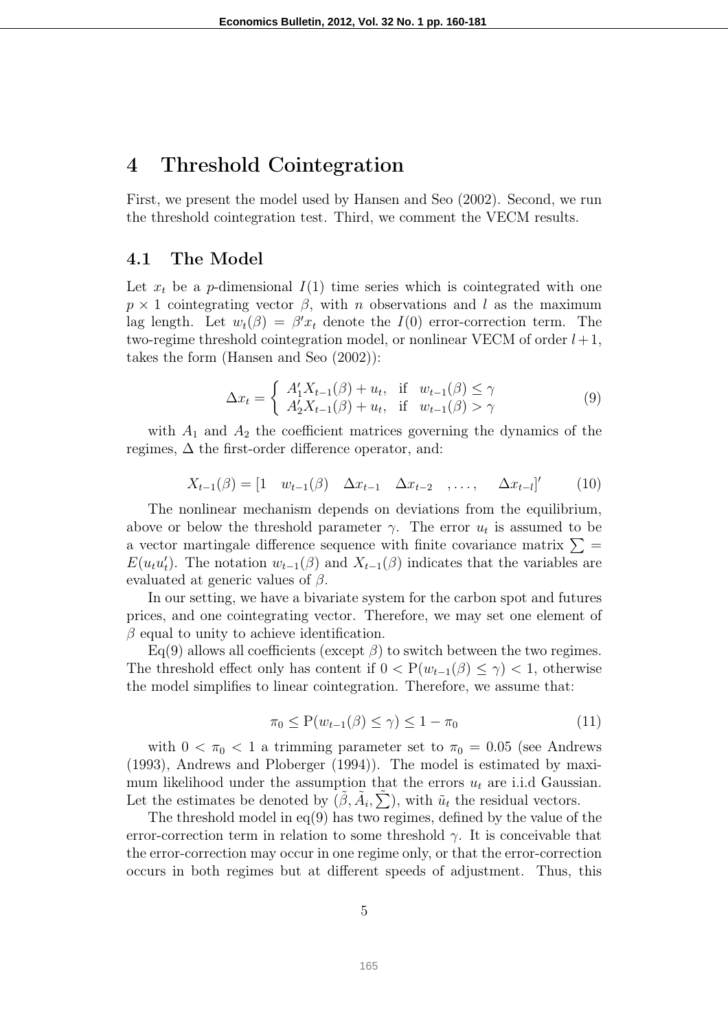## 4 Threshold Cointegration

First, we present the model used by Hansen and Seo (2002). Second, we run the threshold cointegration test. Third, we comment the VECM results.

#### 4.1 The Model

Let  $x_t$  be a p-dimensional  $I(1)$  time series which is cointegrated with one  $p \times 1$  cointegrating vector  $\beta$ , with n observations and l as the maximum lag length. Let  $w_t(\beta) = \beta' x_t$  denote the  $I(0)$  error-correction term. The two-regime threshold cointegration model, or nonlinear VECM of order  $l+1$ , takes the form (Hansen and Seo (2002)):

$$
\Delta x_t = \begin{cases} A'_1 X_{t-1}(\beta) + u_t, & \text{if } w_{t-1}(\beta) \le \gamma \\ A'_2 X_{t-1}(\beta) + u_t, & \text{if } w_{t-1}(\beta) > \gamma \end{cases}
$$
(9)

with  $A_1$  and  $A_2$  the coefficient matrices governing the dynamics of the regimes,  $\Delta$  the first-order difference operator, and:

$$
X_{t-1}(\beta) = \begin{bmatrix} 1 & w_{t-1}(\beta) & \Delta x_{t-1} & \Delta x_{t-2} & \dots, & \Delta x_{t-l} \end{bmatrix}' \tag{10}
$$

The nonlinear mechanism depends on deviations from the equilibrium, above or below the threshold parameter  $\gamma$ . The error  $u_t$  is assumed to be a vector martingale difference sequence with finite covariance matrix  $\Sigma$  =  $E(u_t u'_t)$ . The notation  $w_{t-1}(\beta)$  and  $X_{t-1}(\beta)$  indicates that the variables are evaluated at generic values of  $\beta$ .

In our setting, we have a bivariate system for the carbon spot and futures prices, and one cointegrating vector. Therefore, we may set one element of  $\beta$  equal to unity to achieve identification.

Eq(9) allows all coefficients (except  $\beta$ ) to switch between the two regimes. The threshold effect only has content if  $0 < P(w_{t-1}(\beta) \leq \gamma) < 1$ , otherwise the model simplifies to linear cointegration. Therefore, we assume that:

$$
\pi_0 \le \mathcal{P}(w_{t-1}(\beta) \le \gamma) \le 1 - \pi_0 \tag{11}
$$

with  $0 < \pi_0 < 1$  a trimming parameter set to  $\pi_0 = 0.05$  (see Andrews (1993), Andrews and Ploberger (1994)). The model is estimated by maximum likelihood under the assumption that the errors  $u_t$  are i.i.d Gaussian. Let the estimates be denoted by  $(\tilde{\beta}, \tilde{A}_i, \tilde{\sum})$ , with  $\tilde{u}_t$  the residual vectors.

The threshold model in eq(9) has two regimes, defined by the value of the error-correction term in relation to some threshold  $\gamma$ . It is conceivable that the error-correction may occur in one regime only, or that the error-correction occurs in both regimes but at different speeds of adjustment. Thus, this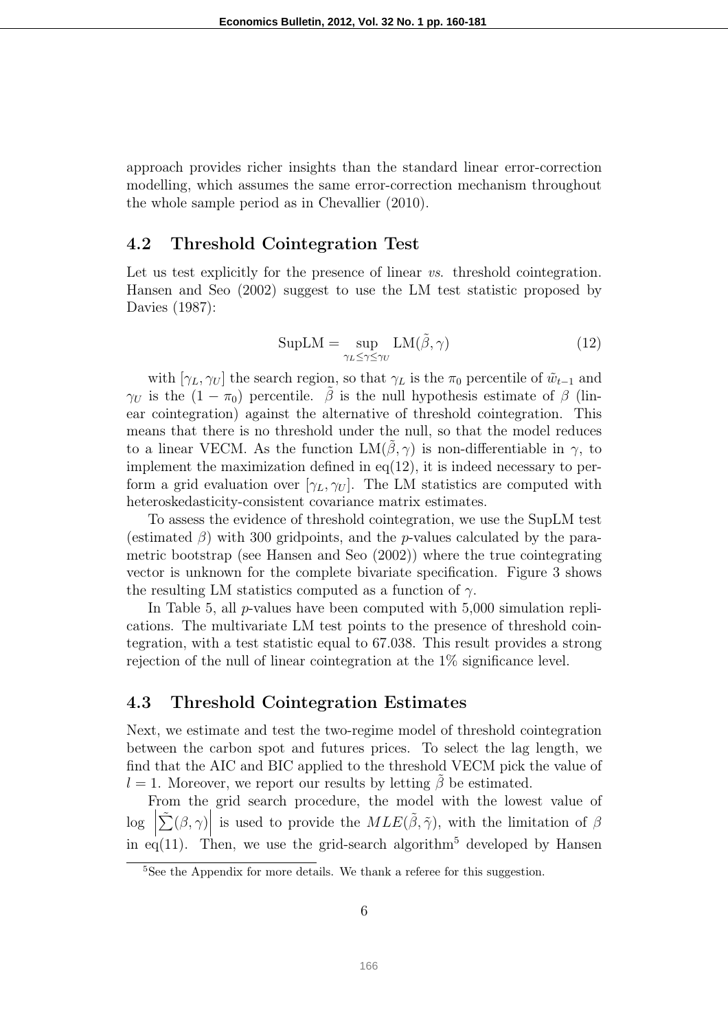approach provides richer insights than the standard linear error-correction modelling, which assumes the same error-correction mechanism throughout the whole sample period as in Chevallier (2010).

#### 4.2 Threshold Cointegration Test

Let us test explicitly for the presence of linear vs. threshold cointegration. Hansen and Seo (2002) suggest to use the LM test statistic proposed by Davies (1987):

$$
SupLM = \sup_{\gamma_L \le \gamma \le \gamma_U} LM(\tilde{\beta}, \gamma)
$$
 (12)

with  $[\gamma_L, \gamma_U]$  the search region, so that  $\gamma_L$  is the  $\pi_0$  percentile of  $\tilde{w}_{t-1}$  and  $\gamma_U$  is the  $(1 - \pi_0)$  percentile.  $\tilde{\beta}$  is the null hypothesis estimate of  $\beta$  (linear cointegration) against the alternative of threshold cointegration. This means that there is no threshold under the null, so that the model reduces to a linear VECM. As the function  $LM(\beta, \gamma)$  is non-differentiable in  $\gamma$ , to implement the maximization defined in eq(12), it is indeed necessary to perform a grid evaluation over  $[\gamma_L, \gamma_U]$ . The LM statistics are computed with heteroskedasticity-consistent covariance matrix estimates.

To assess the evidence of threshold cointegration, we use the SupLM test (estimated  $\beta$ ) with 300 gridpoints, and the *p*-values calculated by the parametric bootstrap (see Hansen and Seo (2002)) where the true cointegrating vector is unknown for the complete bivariate specification. Figure 3 shows the resulting LM statistics computed as a function of  $\gamma$ .

In Table 5, all  $p$ -values have been computed with  $5,000$  simulation replications. The multivariate LM test points to the presence of threshold cointegration, with a test statistic equal to 67.038. This result provides a strong rejection of the null of linear cointegration at the 1% significance level.

#### 4.3 Threshold Cointegration Estimates

Next, we estimate and test the two-regime model of threshold cointegration between the carbon spot and futures prices. To select the lag length, we find that the AIC and BIC applied to the threshold VECM pick the value of  $l = 1$ . Moreover, we report our results by letting  $\hat{\beta}$  be estimated.

From the grid search procedure, the model with the lowest value of log  $\left| \tilde{\sum} (\beta, \gamma) \right|$  is used to provide the  $MLE(\tilde{\beta}, \tilde{\gamma})$ , with the limitation of  $\beta$ in eq(11). Then, we use the grid-search algorithm<sup>5</sup> developed by Hansen

<sup>&</sup>lt;sup>5</sup>See the Appendix for more details. We thank a referee for this suggestion.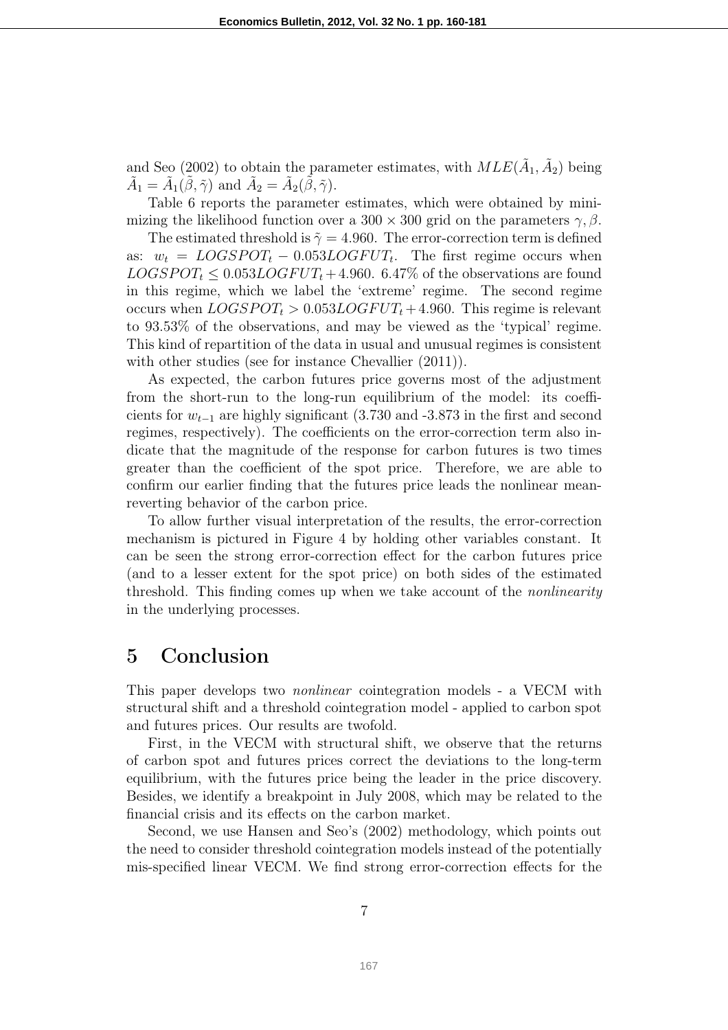and Seo (2002) to obtain the parameter estimates, with  $MLE(\tilde{A}_1, \tilde{A}_2)$  being  $\tilde{A}_1 = \tilde{A}_1(\tilde{\beta}, \tilde{\gamma})$  and  $\tilde{A}_2 = \tilde{A}_2(\tilde{\beta}, \tilde{\gamma})$ .

Table 6 reports the parameter estimates, which were obtained by minimizing the likelihood function over a 300 × 300 grid on the parameters  $\gamma$ ,  $\beta$ .

The estimated threshold is  $\tilde{\gamma} = 4.960$ . The error-correction term is defined as:  $w_t = LOGSPORT_t - 0.053LOGFUT_t$ . The first regime occurs when  $LOGSPOT<sub>t</sub> \leq 0.053 LOGFUT<sub>t</sub> + 4.960$ . 6.47% of the observations are found in this regime, which we label the 'extreme' regime. The second regime occurs when  $LOGSPOT<sub>t</sub> > 0.053 LOGFUT<sub>t</sub> + 4.960$ . This regime is relevant to 93.53% of the observations, and may be viewed as the 'typical' regime. This kind of repartition of the data in usual and unusual regimes is consistent with other studies (see for instance Chevallier  $(2011)$ ).

As expected, the carbon futures price governs most of the adjustment from the short-run to the long-run equilibrium of the model: its coefficients for  $w_{t-1}$  are highly significant (3.730 and -3.873 in the first and second regimes, respectively). The coefficients on the error-correction term also indicate that the magnitude of the response for carbon futures is two times greater than the coefficient of the spot price. Therefore, we are able to confirm our earlier finding that the futures price leads the nonlinear meanreverting behavior of the carbon price.

To allow further visual interpretation of the results, the error-correction mechanism is pictured in Figure 4 by holding other variables constant. It can be seen the strong error-correction effect for the carbon futures price (and to a lesser extent for the spot price) on both sides of the estimated threshold. This finding comes up when we take account of the nonlinearity in the underlying processes.

## 5 Conclusion

This paper develops two nonlinear cointegration models - a VECM with structural shift and a threshold cointegration model - applied to carbon spot and futures prices. Our results are twofold.

First, in the VECM with structural shift, we observe that the returns of carbon spot and futures prices correct the deviations to the long-term equilibrium, with the futures price being the leader in the price discovery. Besides, we identify a breakpoint in July 2008, which may be related to the financial crisis and its effects on the carbon market.

Second, we use Hansen and Seo's (2002) methodology, which points out the need to consider threshold cointegration models instead of the potentially mis-specified linear VECM. We find strong error-correction effects for the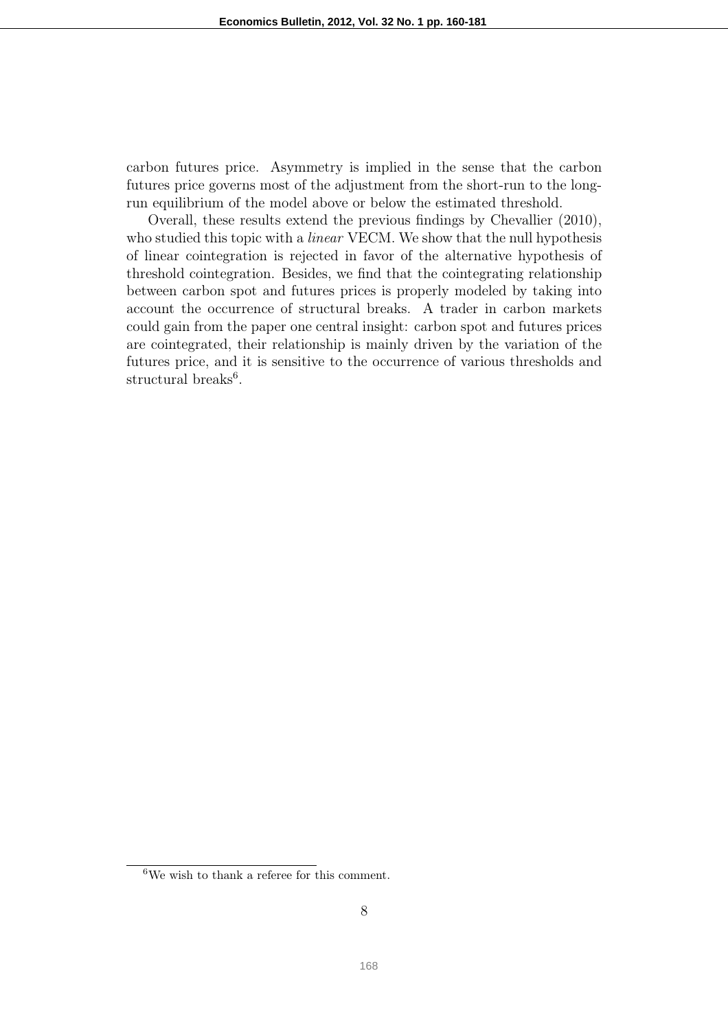carbon futures price. Asymmetry is implied in the sense that the carbon futures price governs most of the adjustment from the short-run to the longrun equilibrium of the model above or below the estimated threshold.

Overall, these results extend the previous findings by Chevallier (2010), who studied this topic with a *linear* VECM. We show that the null hypothesis of linear cointegration is rejected in favor of the alternative hypothesis of threshold cointegration. Besides, we find that the cointegrating relationship between carbon spot and futures prices is properly modeled by taking into account the occurrence of structural breaks. A trader in carbon markets could gain from the paper one central insight: carbon spot and futures prices are cointegrated, their relationship is mainly driven by the variation of the futures price, and it is sensitive to the occurrence of various thresholds and structural breaks<sup>6</sup>.

<sup>6</sup>We wish to thank a referee for this comment.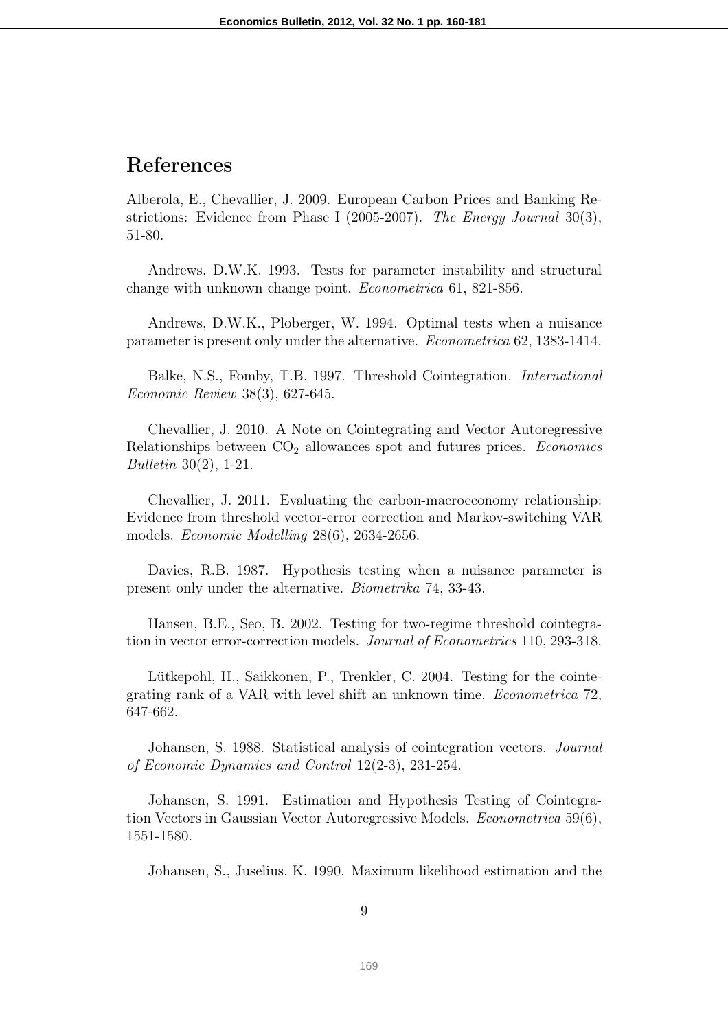# References

Alberola, E., Chevallier, J. 2009. European Carbon Prices and Banking Restrictions: Evidence from Phase I (2005-2007). The Energy Journal 30(3), 51-80.

Andrews, D.W.K. 1993. Tests for parameter instability and structural change with unknown change point. Econometrica 61, 821-856.

Andrews, D.W.K., Ploberger, W. 1994. Optimal tests when a nuisance parameter is present only under the alternative. Econometrica 62, 1383-1414.

Balke, N.S., Fomby, T.B. 1997. Threshold Cointegration. International Economic Review 38(3), 627-645.

Chevallier, J. 2010. A Note on Cointegrating and Vector Autoregressive Relationships between  $CO<sub>2</sub>$  allowances spot and futures prices. Economics Bulletin 30(2), 1-21.

Chevallier, J. 2011. Evaluating the carbon-macroeconomy relationship: Evidence from threshold vector-error correction and Markov-switching VAR models. Economic Modelling 28(6), 2634-2656.

Davies, R.B. 1987. Hypothesis testing when a nuisance parameter is present only under the alternative. Biometrika 74, 33-43.

Hansen, B.E., Seo, B. 2002. Testing for two-regime threshold cointegration in vector error-correction models. Journal of Econometrics 110, 293-318.

Lütkepohl, H., Saikkonen, P., Trenkler, C. 2004. Testing for the cointegrating rank of a VAR with level shift an unknown time. Econometrica 72, 647-662.

Johansen, S. 1988. Statistical analysis of cointegration vectors. Journal of Economic Dynamics and Control 12(2-3), 231-254.

Johansen, S. 1991. Estimation and Hypothesis Testing of Cointegration Vectors in Gaussian Vector Autoregressive Models. Econometrica 59(6), 1551-1580.

Johansen, S., Juselius, K. 1990. Maximum likelihood estimation and the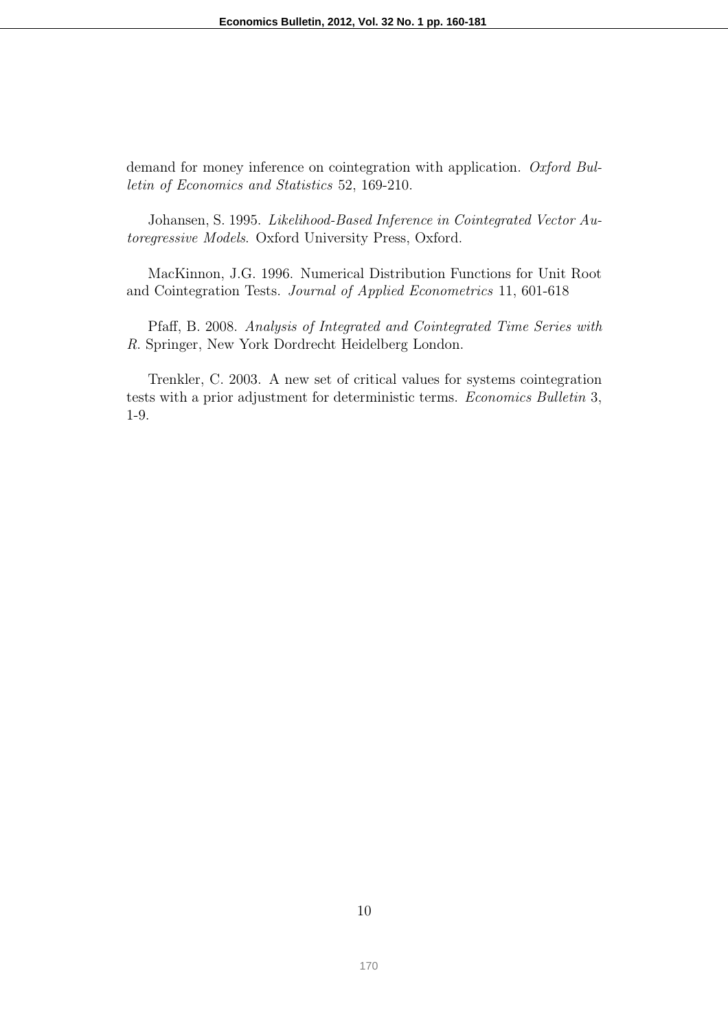demand for money inference on cointegration with application. Oxford Bulletin of Economics and Statistics 52, 169-210.

Johansen, S. 1995. Likelihood-Based Inference in Cointegrated Vector Autoregressive Models. Oxford University Press, Oxford.

MacKinnon, J.G. 1996. Numerical Distribution Functions for Unit Root and Cointegration Tests. Journal of Applied Econometrics 11, 601-618

Pfaff, B. 2008. Analysis of Integrated and Cointegrated Time Series with R. Springer, New York Dordrecht Heidelberg London.

Trenkler, C. 2003. A new set of critical values for systems cointegration tests with a prior adjustment for deterministic terms. Economics Bulletin 3, 1-9.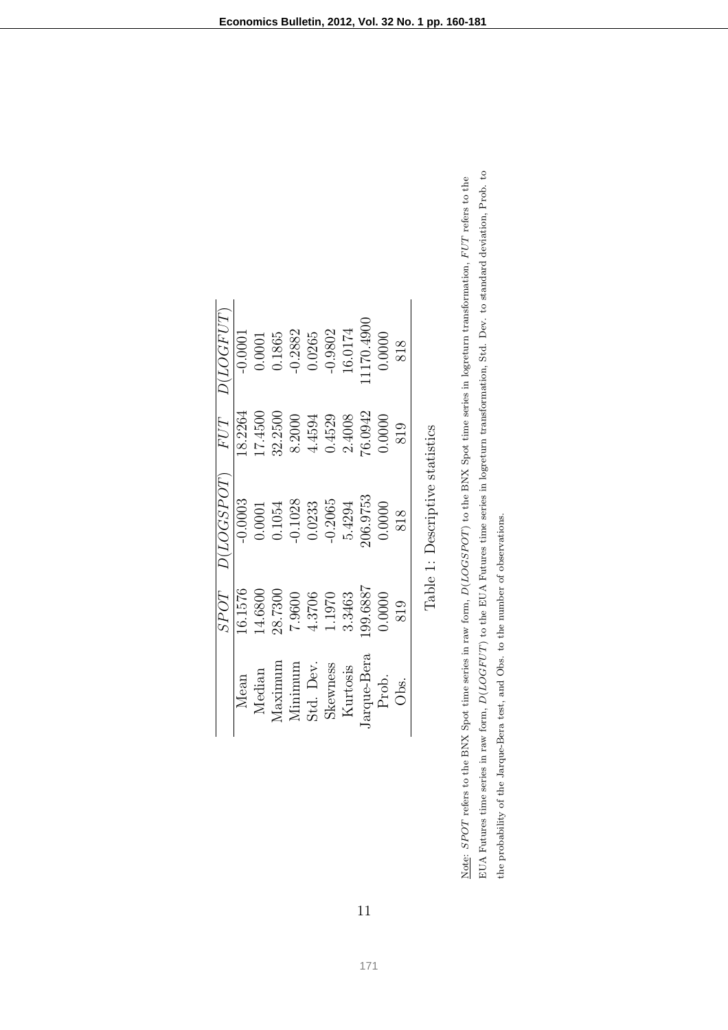|             | SPOT    | D (LOGPOT)                      | FUT     | D (LOGFUT) |
|-------------|---------|---------------------------------|---------|------------|
| Mean        | 16.1576 | $-0.0003$                       | 18.2264 | $-0.0001$  |
| Median      | 14.6800 | 0.0001                          | 17.4500 | 0.0001     |
| $M$ aximum  | 28.7300 | 0.1054                          | 32.2500 | 0.1865     |
| Minimum     | 7.9600  | $-0.1028$                       | 8.2000  | $-0.2882$  |
| Std. Dev.   | 4.3706  | 0.0233                          | 4.4594  | 0.0265     |
| Skewness    | 1.1970  | $-0.2065$                       | 0.4529  | $-0.9802$  |
| Kurtosis    | 3.3463  | 5.4294                          | 2.4008  | 16.0174    |
| Jarque-Bera | 99.6887 | 106.9753                        | 76.0942 | 1170.4900  |
| Prob.       | 0.0000  | 0.0000                          | 0.0000  | 0.0000     |
| Obs.        | 819     | 818                             | 819     | 818        |
|             |         | Table 1: Descriptive statistics |         |            |

|   | Š<br>í<br>ļ<br>$ct - 2$ | ;<br>ו                        |  |
|---|-------------------------|-------------------------------|--|
|   | Š<br>CONTA              | $\overline{\phantom{a}}$<br>l |  |
|   |                         |                               |  |
| ١ |                         |                               |  |
|   |                         |                               |  |

EUA Futures time series in raw form,  $D(LOGFUT)$  to the EUA Futures time series in logreturn transformation, Std. Dev. to standard deviation, Prob. to  $D(LOGFUT)$  to the EUA Futures time series in logreturn transformation, Std. Dev. to standard deviation, Prob. to Note: SPOT refers to the BNX Spot time series in raw form,  $D (LOGSPOT)$  to the BNX Spot time series in logreturn transformation, FUT refers to the  $D(LOGSPOT)$  to the BNX Spot time series in logreturn transformation,  $FUT$  refers to the the probability of the Jarque-Bera test, and Obs. to the number of observations. the probability of the Jarque-Bera test, and Obs. to the number of observations. Note: SPOT refers to the BNX Spot time series in raw form, EUA Futures time series in raw form,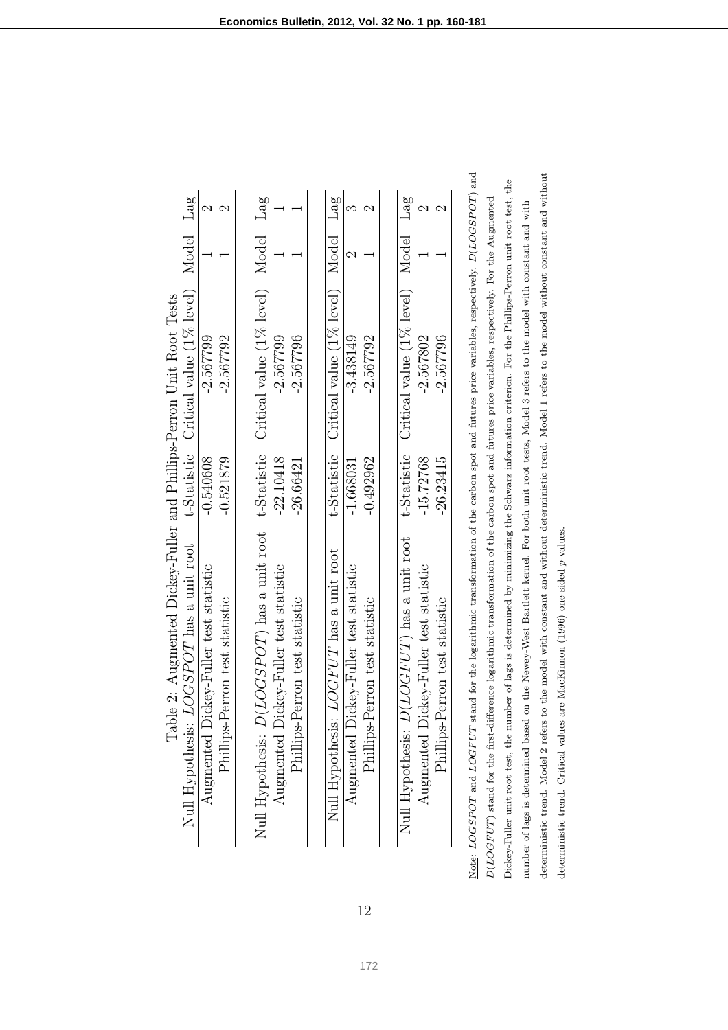| LOGSPOT has a unit root<br>Null Hypothesis:                                                 |             | t-Statistic Critical value (1% level) | Model Lag |   |
|---------------------------------------------------------------------------------------------|-------------|---------------------------------------|-----------|---|
| Augmented Dickey-Fuller test statistic                                                      | $-0.540608$ | $-2.567799$                           |           |   |
| Phillips-Perron test statistic                                                              | $-0.521879$ | $-2.567792$                           |           |   |
|                                                                                             |             |                                       |           |   |
| Null Hypothesis: D(LOGSPOT) has a unit root t-Statistic Critical value (1% level) Model Lag |             |                                       |           |   |
| Augmented Dickey-Fuller test statistic                                                      | $-22.10418$ | $-2.567799$                           |           |   |
| Phillips-Perron test statistic                                                              | $-26.66421$ | $-2.567796$                           |           |   |
|                                                                                             |             |                                       |           |   |
| Null Hypothesis: LOGFUT has a unit root                                                     | t-Statistic | Critical value (1% level) Model Lag   |           |   |
| Augmented Dickey-Fuller test statistic                                                      | $-1.668031$ | $-3.438149$                           |           | ಌ |
| Phillips-Perron test statistic                                                              | $-0.492962$ | $-2.567792$                           |           |   |
|                                                                                             |             |                                       |           |   |
| Null Hypothesis: D(LOGFUT) has a unit root                                                  | t-Statistic | Critical value (1% level) Model Lag   |           |   |
| Augmented Dickey-Fuller test statistic                                                      | $-15.72768$ | $-2.567802$                           |           |   |
| Phillips-Perron test statistic                                                              | $-26.23415$ | $-2.567796$                           |           |   |

12

deterministic trend. Model 2 refers to the model with constant and without deterministic trend. Model 1 refers to the model without constant and without deterministic trend. Model 2 refers to the model with constant and without deterministic trend. Model 1 refers to the model without constant and without Dickey-Fuller unit root test, the number of lags is determined by minimizing the Schwarz information criterion. For the Phillips-Perron unit root test, the Dickey-Fuller unit root test, the number of lags is determined by minimizing the Schwarz information criterion. For the Phillips-Perron unit root test, the  $D(LOGFUT)$  stand for the first-difference logarithmic transformation of the carbon spot and futures price variables, respectively. For the Augmented number of lags is determined based on the Newey-West Bartlett kernel. For both unit root tests, Model 3 refers to the model with constant and with number of lags is determined based on the Newey-West Bartlett kernel. For both unit root tests, Model 3 refers to the model with constant and with Note: LOGSPOT and LOGFUT stand for the logarithmic transformation of the carbon spot and futures price variables, respectively. deterministic trend. Critical values are MacKinnon (1996) one-sided p-values. deterministic trend. Critical values are MacKinnon (1996) one-sided p-values. Note:  $LO$  $D (LOGF$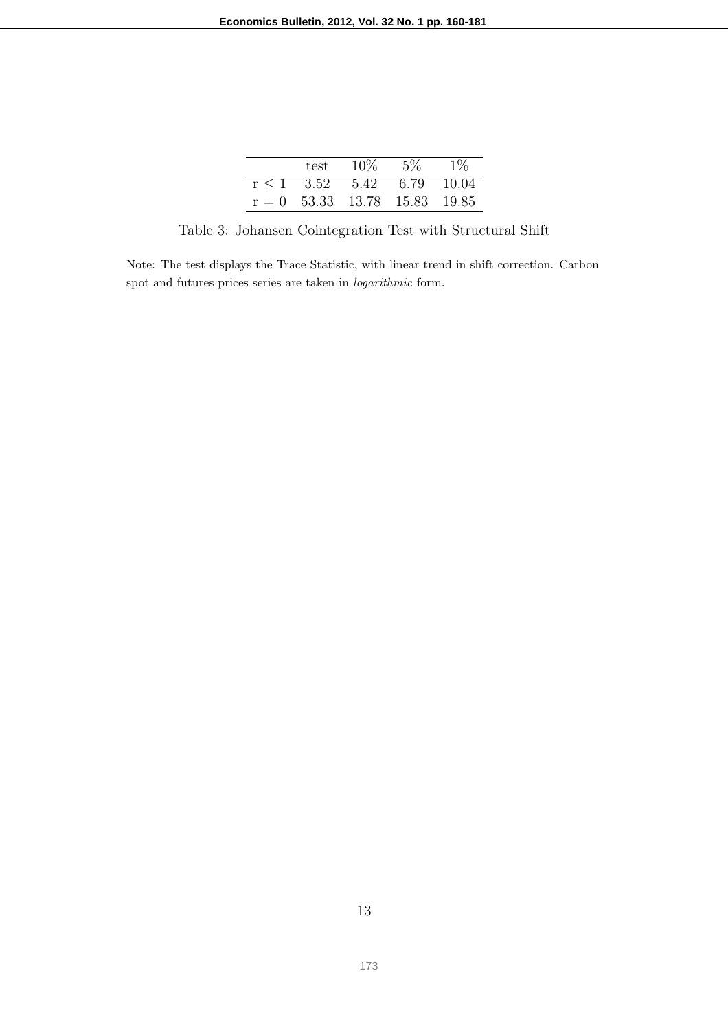| test                            | $10\%$ | $5\%$ | $1\%$ |
|---------------------------------|--------|-------|-------|
|                                 |        |       |       |
| $r \le 1$ 3.52                  | 5.42   | 6.79  | 10.04 |
| $r = 0$ 53.33 13.78 15.83 19.85 |        |       |       |

Table 3: Johansen Cointegration Test with Structural Shift

Note: The test displays the Trace Statistic, with linear trend in shift correction. Carbon spot and futures prices series are taken in logarithmic form.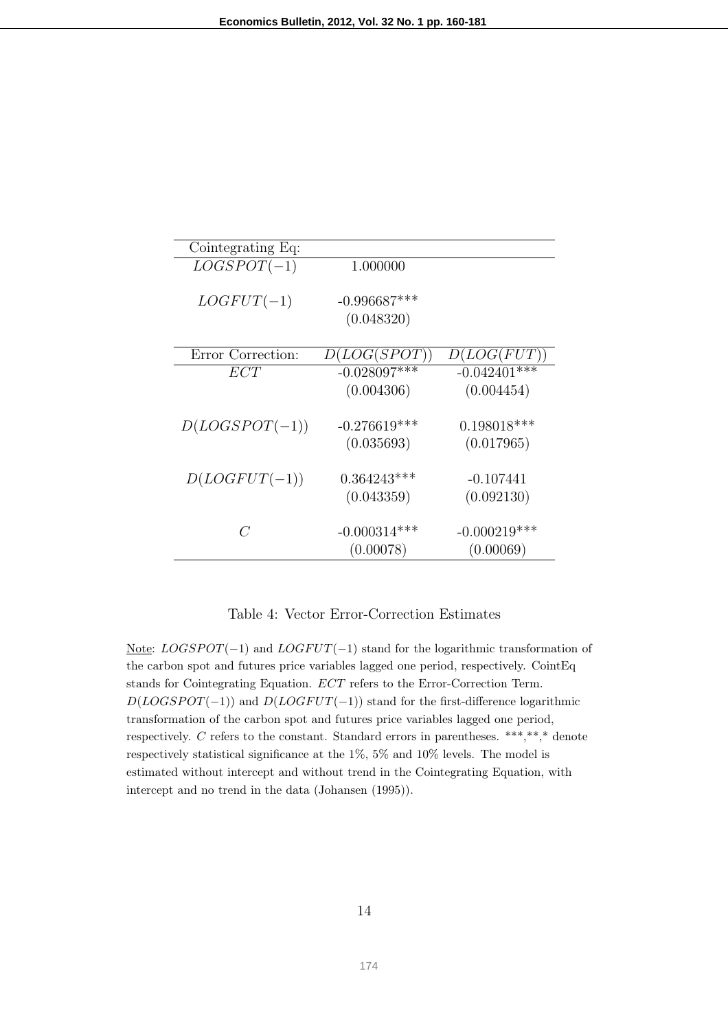| Cointegrating Eq: |                |                 |
|-------------------|----------------|-----------------|
| $LOGSPOT(-1)$     | 1.000000       |                 |
|                   |                |                 |
| $LOGFUT(-1)$      | $-0.996687***$ |                 |
|                   | (0.048320)     |                 |
|                   |                |                 |
| Error Correction: | D (LOG (SPOT)) | D (LOG(FUT))    |
| ECT               | $-0.028097***$ | $-0.042401$ *** |
|                   | (0.004306)     | (0.004454)      |
|                   |                |                 |
| $D(LOGSPOT(-1))$  | $-0.276619***$ | $0.198018***$   |
|                   | (0.035693)     | (0.017965)      |
|                   |                |                 |
| $D (LOGFUT(-1))$  | $0.364243***$  | $-0.107441$     |
|                   | (0.043359)     | (0.092130)      |
|                   |                |                 |
| C                 | $-0.000314***$ | $-0.000219***$  |
|                   | (0.00078)      | (0.00069)       |
|                   |                |                 |

#### Table 4: Vector Error-Correction Estimates

Note:  $LOGSPOT(-1)$  and  $LOGFUT(-1)$  stand for the logarithmic transformation of the carbon spot and futures price variables lagged one period, respectively. CointEq stands for Cointegrating Equation. ECT refers to the Error-Correction Term.  $D(LOGS POT(-1))$  and  $D(LOGFUT(-1))$  stand for the first-difference logarithmic transformation of the carbon spot and futures price variables lagged one period, respectively. C refers to the constant. Standard errors in parentheses. \*\*\*,\*\*,\* denote respectively statistical significance at the 1%, 5% and 10% levels. The model is estimated without intercept and without trend in the Cointegrating Equation, with intercept and no trend in the data (Johansen (1995)).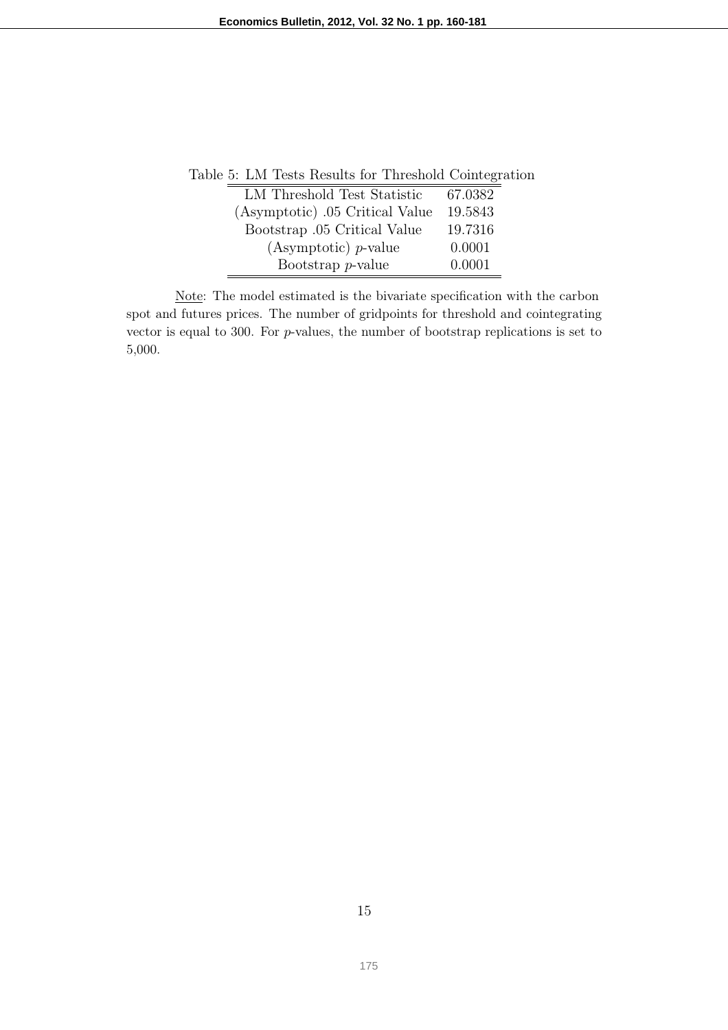| Lable 5: LM lests Results for Threshold Cointegrati |         |
|-----------------------------------------------------|---------|
| LM Threshold Test Statistic                         | 67.0382 |
| (Asymptotic) .05 Critical Value                     | 19.5843 |
| Bootstrap .05 Critical Value                        | 19.7316 |
| (Asymptotic) $p$ -value                             | 0.0001  |
| Bootstrap $p$ -value                                | 0.0001  |

Table 5: LM Tests Results for Threshold Cointegration

Note: The model estimated is the bivariate specification with the carbon spot and futures prices. The number of gridpoints for threshold and cointegrating vector is equal to 300. For  $p$ -values, the number of bootstrap replications is set to 5,000.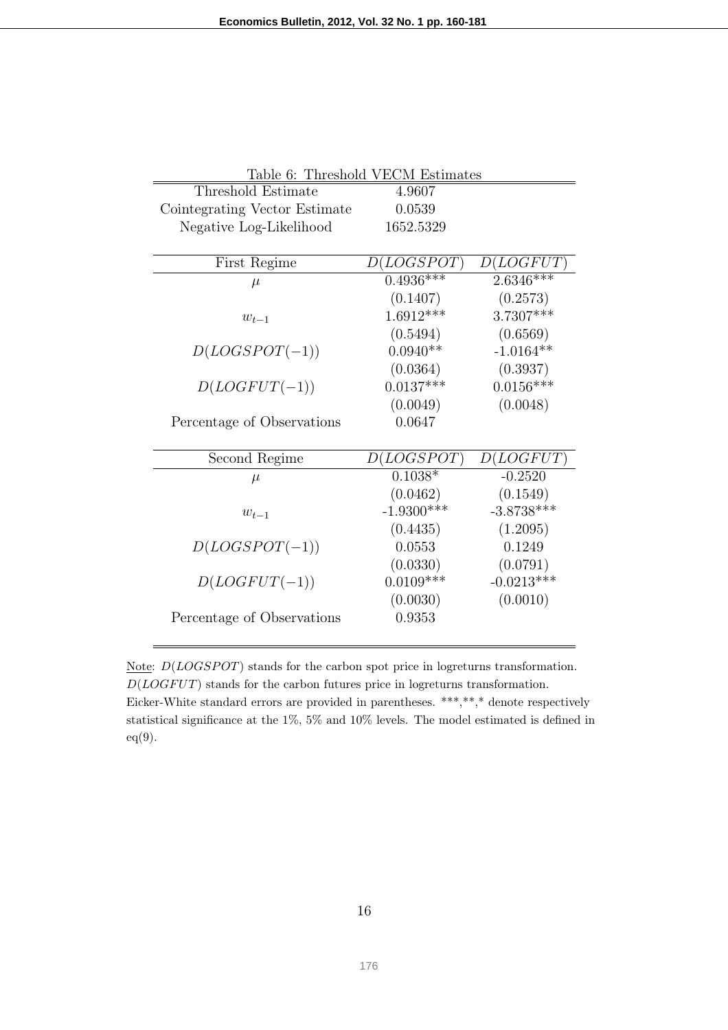|                               | Table 6: Threshold VECM Estimates |              |
|-------------------------------|-----------------------------------|--------------|
| Threshold Estimate            | 4.9607                            |              |
| Cointegrating Vector Estimate | 0.0539                            |              |
| Negative Log-Likelihood       | 1652.5329                         |              |
|                               |                                   |              |
| First Regime                  | D (LOGSPOT)                       | D (LOGFUT)   |
| $\mu$                         | $0.4936***$                       | $2.6346***$  |
|                               | (0.1407)                          | (0.2573)     |
| $w_{t-1}$                     | $1.6912***$                       | 3.7307***    |
|                               | (0.5494)                          | (0.6569)     |
| $D(LOGSPOT(-1))$              | $0.0940**$                        | $-1.0164**$  |
|                               | (0.0364)                          | (0.3937)     |
| $D (LOGFUT(-1))$              | $0.0137***$                       | $0.0156***$  |
|                               | (0.0049)                          | (0.0048)     |
| Percentage of Observations    | 0.0647                            |              |
|                               |                                   |              |
| Second Regime                 | D (LOGSPOT)                       | D (LOGFUT)   |
| $\mu$                         | $0.1038*$                         | $-0.2520$    |
|                               | (0.0462)                          | (0.1549)     |
| $w_{t-1}$                     | $-1.9300***$                      | $-3.8738***$ |
|                               | (0.4435)                          | (1.2095)     |
| $D(LOGSPOT(-1))$              | 0.0553                            | 0.1249       |
|                               | (0.0330)                          | (0.0791)     |
| $D (LOGFUT(-1))$              | $0.0109***$                       | $-0.0213***$ |
|                               | (0.0030)                          | (0.0010)     |
| Percentage of Observations    | 0.9353                            |              |
|                               |                                   |              |

Note:  $D(LOGSPOT)$  stands for the carbon spot price in logreturns transformation.  $D(LOGFUT)$  stands for the carbon futures price in logreturns transformation. Eicker-White standard errors are provided in parentheses. \*\*\*,\*\*,\* denote respectively statistical significance at the 1%, 5% and 10% levels. The model estimated is defined in eq(9).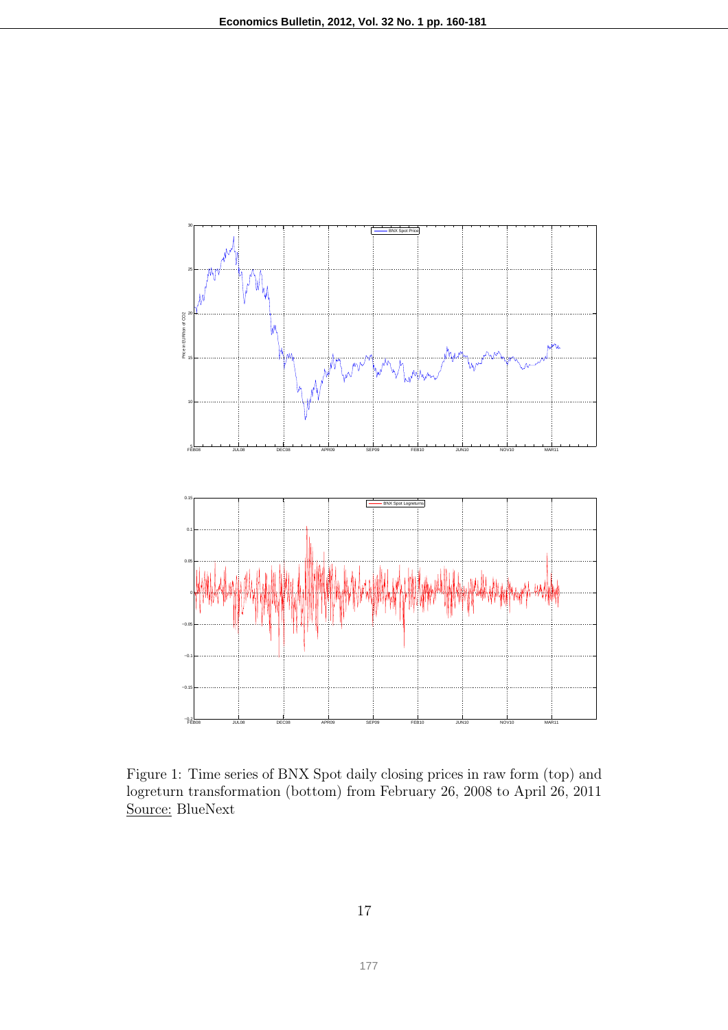

Figure 1: Time series of BNX Spot daily closing prices in raw form (top) and logreturn transformation (bottom) from February 26, 2008 to April 26, 2011 Source: BlueNext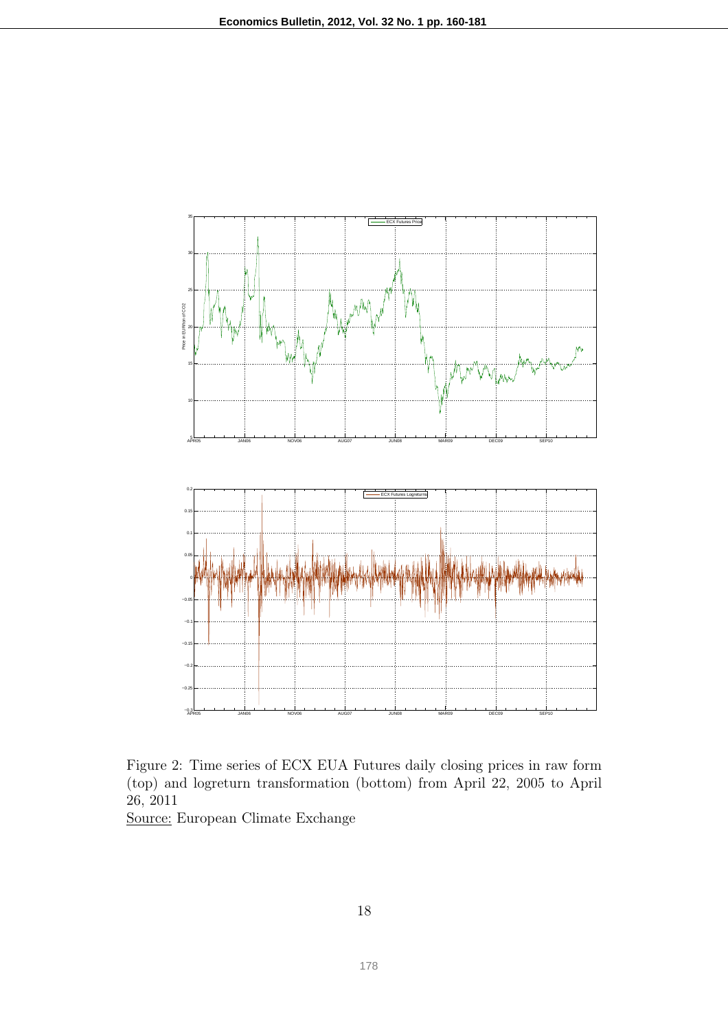

Figure 2: Time series of ECX EUA Futures daily closing prices in raw form (top) and logreturn transformation (bottom) from April 22, 2005 to April 26, 2011

Source: European Climate Exchange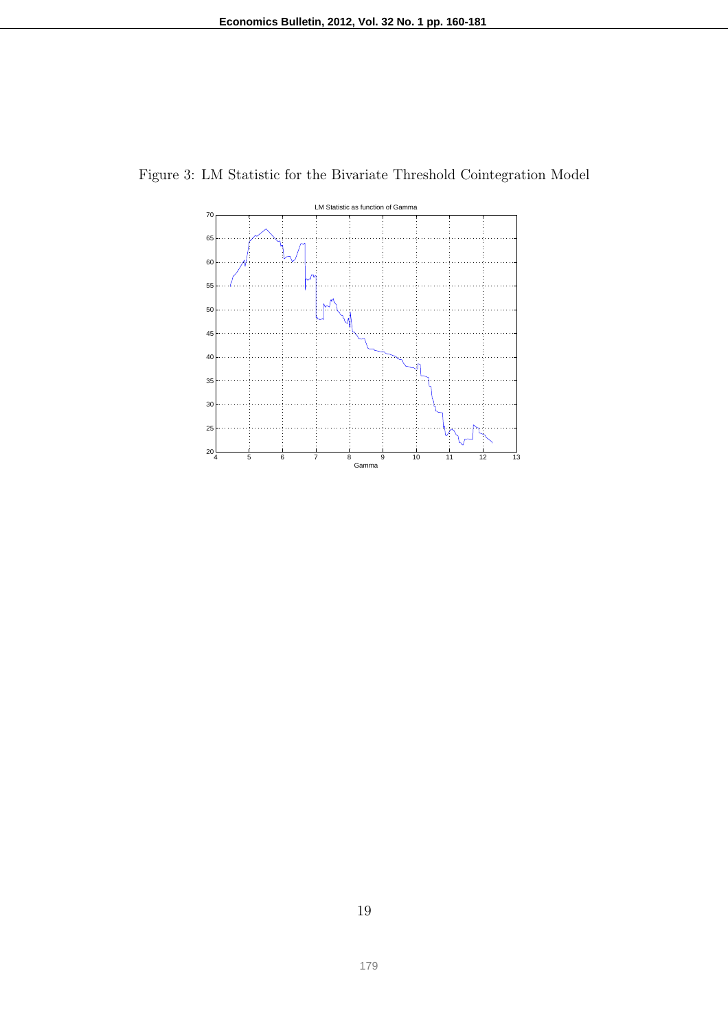

Figure 3: LM Statistic for the Bivariate Threshold Cointegration Model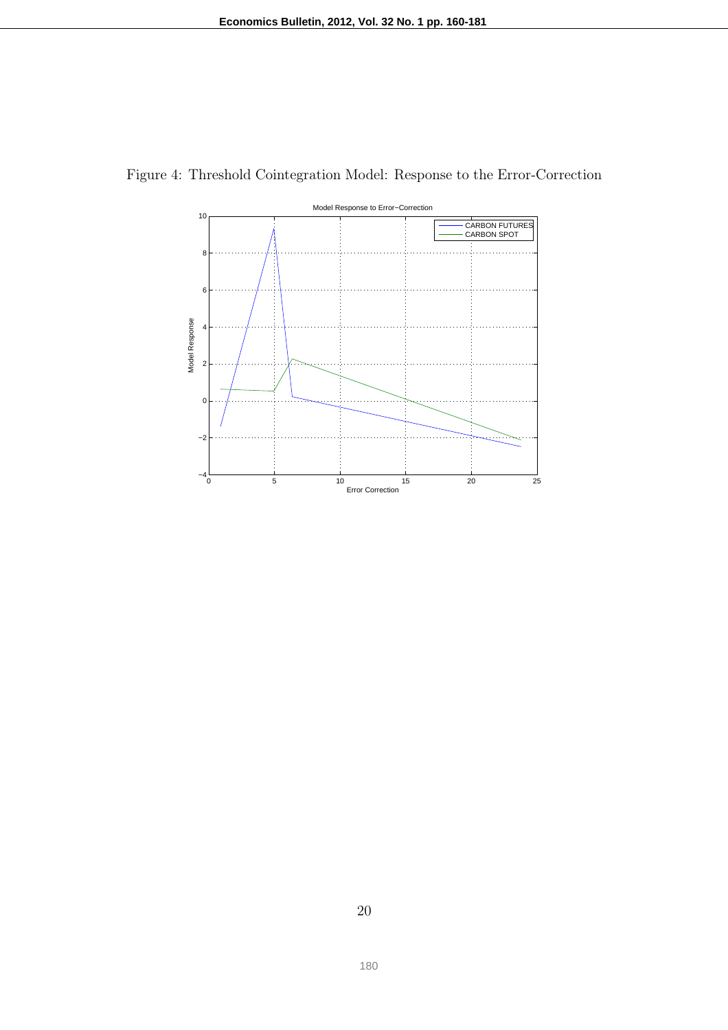

Figure 4: Threshold Cointegration Model: Response to the Error-Correction